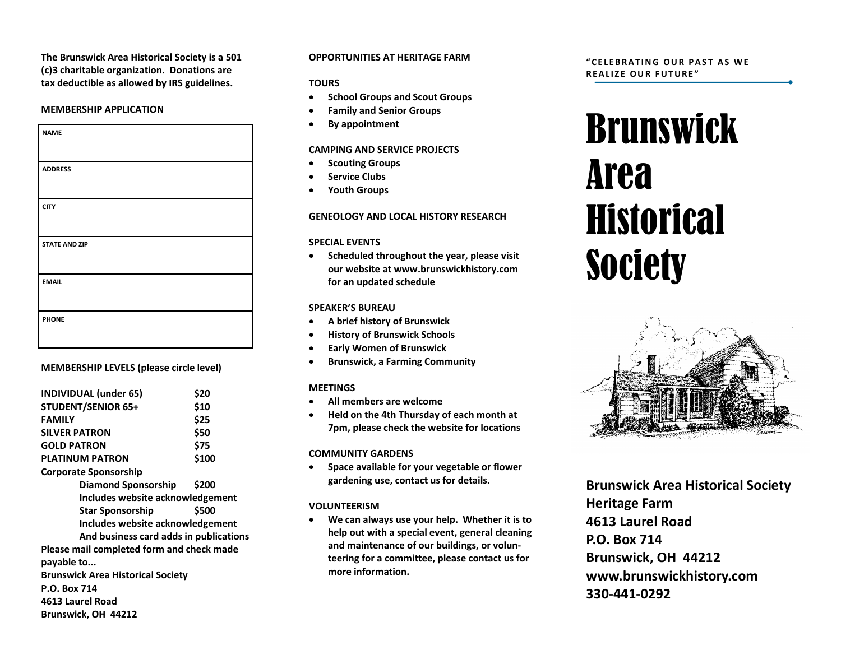**The Brunswick Area Historical Society is a 501 (c)3 charitable organization. Donations are tax deductible as allowed by IRS guidelines.**

#### **MEMBERSHIP APPLICATION**

| <b>NAME</b>          |
|----------------------|
|                      |
| <b>ADDRESS</b>       |
|                      |
| <b>CITY</b>          |
|                      |
| <b>STATE AND ZIP</b> |
|                      |
| <b>EMAIL</b>         |
|                      |
| <b>PHONE</b>         |
|                      |

#### **MEMBERSHIP LEVELS (please circle level)**

| <b>INDIVIDUAL (under 65)</b>              | \$20  |
|-------------------------------------------|-------|
| <b>STUDENT/SENIOR 65+</b>                 | \$10  |
| <b>FAMILY</b>                             | \$25  |
| <b>SILVER PATRON</b>                      | \$50  |
| <b>GOLD PATRON</b>                        | \$75  |
| <b>PLATINUM PATRON</b>                    | \$100 |
| <b>Corporate Sponsorship</b>              |       |
| <b>Diamond Sponsorship</b>                | \$200 |
| Includes website acknowledgement          |       |
| <b>Star Sponsorship</b>                   | \$500 |
| Includes website acknowledgement          |       |
| And business card adds in publications    |       |
| Please mail completed form and check made |       |
| payable to                                |       |
| <b>Brunswick Area Historical Society</b>  |       |
| <b>P.O. Box 714</b>                       |       |
| 4613 Laurel Road                          |       |
| Brunswick, OH 44212                       |       |

#### **OPPORTUNITIES AT HERITAGE FARM**

#### **TOURS**

- **•** School Groups and Scout Groups
- **Family and Senior Groups**
- **By appointment**

#### **CAMPING AND SERVICE PROJECTS**

- **•** Scouting Groups
- **Service Clubs**
- **Youth Groups**

### **GENEOLOGY AND LOCAL HISTORY RESEARCH**

#### **SPECIAL EVENTS**

 **Scheduled throughout the year, please visit our website at www.brunswickhistory.com for an updated schedule**

#### **SPEAKER'S BUREAU**

- **A brief history of Brunswick**
- **•** History of Brunswick Schools
- **Early Women of Brunswick**
- **Brunswick, a Farming Community**

#### **MEETINGS**

- **All members are welcome**
- **Held on the 4th Thursday of each month at 7pm, please check the website for locations**

#### **COMMUNITY GARDENS**

 **Space available for your vegetable or flower gardening use, contact us for details.**

## **VOLUNTEERISM**

 **We can always use your help. Whether it is to help out with a special event, general cleaning and maintenance of our buildings, or volunteering for a committee, please contact us for more information.** 

#### **" C E L E B R A T I N G O U R P A S T A S W E REALIZE OUR FUTURE"**

# Brunswick Area **Historical Society**



**Brunswick Area Historical Society Heritage Farm 4613 Laurel Road P.O. Box 714 Brunswick, OH 44212 www.brunswickhistory.com 330-441-0292**